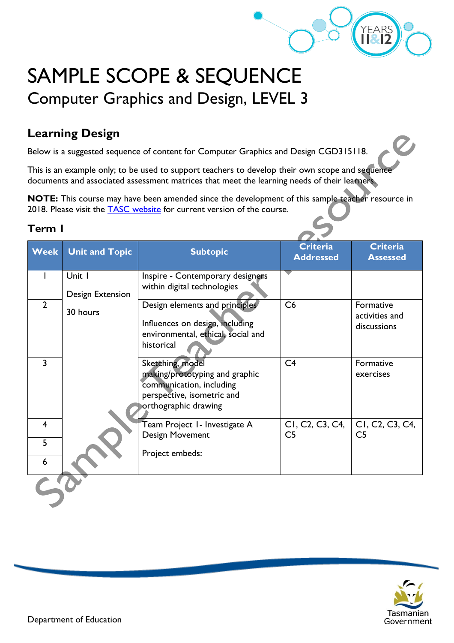

# SAMPLE SCOPE & SEQUENCE Computer Graphics and Design, LEVEL 3

## **Learning Design**

Below is a suggested sequence of content for Computer Graphics and Design CGD315118.

This is an example only; to be used to support teachers to develop their own scope and sequence documents and associated assessment matrices that meet the learning needs of their learners.

**NOTE:** This course may have been amended since the development of this sample teacher resource in 2018. Please visit the **TASC** website for current version of the course.

#### **Term 1**

| <b>Week</b>    | <b>Unit and Topic</b> | <b>Subtopic</b>                    | <b>Criteria</b><br><b>Addressed</b>                    | <b>Criteria</b><br><b>Assessed</b>                     |
|----------------|-----------------------|------------------------------------|--------------------------------------------------------|--------------------------------------------------------|
|                | Unit I                | Inspire - Contemporary designers   |                                                        |                                                        |
|                | Design Extension      | within digital technologies        |                                                        |                                                        |
| $\overline{2}$ |                       | Design elements and principles     | C6                                                     | Formative                                              |
|                | 30 hours              |                                    |                                                        | activities and                                         |
|                |                       | Influences on design, including    |                                                        | discussions                                            |
|                |                       | environmental, ethical, social and |                                                        |                                                        |
|                |                       | historical                         |                                                        |                                                        |
| 3              |                       | Sketching, model                   | C <sub>4</sub>                                         | Formative                                              |
|                |                       | making/prototyping and graphic     |                                                        | exercises                                              |
|                |                       | communication, including           |                                                        |                                                        |
|                |                       | perspective, isometric and         |                                                        |                                                        |
|                |                       | orthographic drawing               |                                                        |                                                        |
| 4              |                       | Team Project I - Investigate A     | CI, C <sub>2</sub> , C <sub>3</sub> , C <sub>4</sub> , | CI, C <sub>2</sub> , C <sub>3</sub> , C <sub>4</sub> , |
|                |                       | Design Movement                    | C <sub>5</sub>                                         | C <sub>5</sub>                                         |
| 5              |                       | Project embeds:                    |                                                        |                                                        |
| 6              |                       |                                    |                                                        |                                                        |
|                |                       |                                    |                                                        |                                                        |

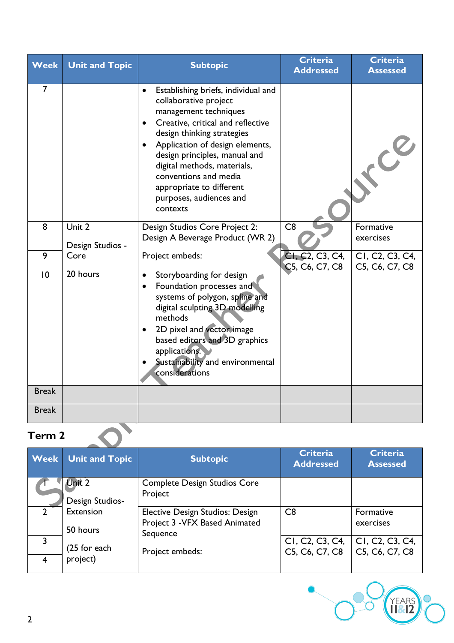| Week         | <b>Unit and Topic</b>      | <b>Subtopic</b>                                                                                                                                                                                                                                                                                                                                                      | <b>Criteria</b><br><b>Addressed</b>                                      | <b>Criteria</b><br><b>Assessed</b>                                       |
|--------------|----------------------------|----------------------------------------------------------------------------------------------------------------------------------------------------------------------------------------------------------------------------------------------------------------------------------------------------------------------------------------------------------------------|--------------------------------------------------------------------------|--------------------------------------------------------------------------|
| 7            |                            | Establishing briefs, individual and<br>$\bullet$<br>collaborative project<br>management techniques<br>Creative, critical and reflective<br>design thinking strategies<br>Application of design elements,<br>design principles, manual and<br>digital methods, materials,<br>conventions and media<br>appropriate to different<br>purposes, audiences and<br>contexts |                                                                          |                                                                          |
| 8            | Unit 2<br>Design Studios - | Design Studios Core Project 2:<br>Design A Beverage Product (WR 2)                                                                                                                                                                                                                                                                                                   | C8                                                                       | Formative<br>exercises                                                   |
| 9            | Core                       | Project embeds:                                                                                                                                                                                                                                                                                                                                                      | CI, C <sub>2</sub> , C <sub>3</sub> , C <sub>4</sub> ,<br>C5, C6, C7, C8 | CI, C <sub>2</sub> , C <sub>3</sub> , C <sub>4</sub> ,<br>C5, C6, C7, C8 |
| $ 0\rangle$  | 20 hours                   | Storyboarding for design<br>Foundation processes and<br>systems of polygon, spline and<br>digital sculpting 3D modelling<br>methods<br>2D pixel and vector image<br>based editors and 3D graphics<br>applications.<br>Sustainability and environmental<br>considerations                                                                                             |                                                                          |                                                                          |
| <b>Break</b> |                            |                                                                                                                                                                                                                                                                                                                                                                      |                                                                          |                                                                          |
| <b>Break</b> |                            |                                                                                                                                                                                                                                                                                                                                                                      |                                                                          |                                                                          |

# **Term 2**

|               | <b>Week</b> Unit and Topic | <b>Subtopic</b>                                                                      | <b>Criteria</b><br><b>Addressed</b>                                      | <b>Criteria</b><br><b>Assessed</b>                                       |
|---------------|----------------------------|--------------------------------------------------------------------------------------|--------------------------------------------------------------------------|--------------------------------------------------------------------------|
|               | Unit 2<br>Design Studios-  | <b>Complete Design Studios Core</b><br>Project                                       |                                                                          |                                                                          |
| $\mathcal{D}$ | Extension<br>50 hours      | <b>Elective Design Studios: Design</b><br>Project 3 - VFX Based Animated<br>Sequence | C8                                                                       | Formative<br>exercises                                                   |
| 4             | $(25$ for each<br>project) | Project embeds:                                                                      | CI, C <sub>2</sub> , C <sub>3</sub> , C <sub>4</sub> ,<br>C5, C6, C7, C8 | CI, C <sub>2</sub> , C <sub>3</sub> , C <sub>4</sub> ,<br>C5, C6, C7, C8 |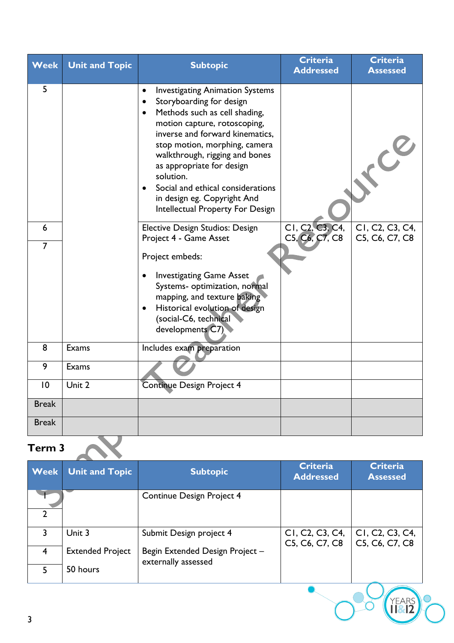| <b>Week</b>         | <b>Unit and Topic</b> | <b>Subtopic</b>                                                                                                                                                                                                                                                                                                                                                                                                                    | <b>Criteria</b><br><b>Addressed</b>                                      | <b>Criteria</b><br><b>Assessed</b> |  |
|---------------------|-----------------------|------------------------------------------------------------------------------------------------------------------------------------------------------------------------------------------------------------------------------------------------------------------------------------------------------------------------------------------------------------------------------------------------------------------------------------|--------------------------------------------------------------------------|------------------------------------|--|
| 5                   |                       | <b>Investigating Animation Systems</b><br>$\bullet$<br>Storyboarding for design<br>Methods such as cell shading,<br>$\bullet$<br>motion capture, rotoscoping,<br>inverse and forward kinematics,<br>stop motion, morphing, camera<br>walkthrough, rigging and bones<br>as appropriate for design<br>solution.<br>Social and ethical considerations<br>$\bullet$<br>in design eg. Copyright And<br>Intellectual Property For Design |                                                                          | $\mathcal{C}$                      |  |
| 6<br>$\overline{7}$ |                       | <b>Elective Design Studios: Design</b><br>Project 4 - Game Asset<br>Project embeds:                                                                                                                                                                                                                                                                                                                                                | CI, C <sub>2</sub> , C <sub>3</sub> , C <sub>4</sub> ,<br>C5, C6, C7, C8 | CI, C2, C3, C4,<br>C5, C6, C7, C8  |  |
|                     |                       | <b>Investigating Game Asset</b><br>$\bullet$<br>Systems- optimization, normal<br>mapping, and texture baking<br>Historical evolution of design<br>$\bullet$<br>(social-C6, technical<br>developments C7)                                                                                                                                                                                                                           |                                                                          |                                    |  |
| 8                   | Exams                 | Includes exam preparation                                                                                                                                                                                                                                                                                                                                                                                                          |                                                                          |                                    |  |
| 9                   | Exams                 |                                                                                                                                                                                                                                                                                                                                                                                                                                    |                                                                          |                                    |  |
| $\overline{0}$      | Unit 2                | Continue Design Project 4                                                                                                                                                                                                                                                                                                                                                                                                          |                                                                          |                                    |  |
| <b>Break</b>        |                       |                                                                                                                                                                                                                                                                                                                                                                                                                                    |                                                                          |                                    |  |
| <b>Break</b>        |                       |                                                                                                                                                                                                                                                                                                                                                                                                                                    |                                                                          |                                    |  |
| Term 3              |                       |                                                                                                                                                                                                                                                                                                                                                                                                                                    |                                                                          |                                    |  |

| <b>Week</b>    | <b>Unit and Topic</b>   | <b>Subtopic</b>                                        | <b>Criteria</b><br><b>Addressed</b>                                      | <b>Criteria</b><br><b>Assessed</b>                                       |
|----------------|-------------------------|--------------------------------------------------------|--------------------------------------------------------------------------|--------------------------------------------------------------------------|
| $\overline{2}$ |                         | Continue Design Project 4                              |                                                                          |                                                                          |
| 3              | Unit 3                  | Submit Design project 4                                | CI, C <sub>2</sub> , C <sub>3</sub> , C <sub>4</sub> ,<br>C5, C6, C7, C8 | CI, C <sub>2</sub> , C <sub>3</sub> , C <sub>4</sub> ,<br>C5, C6, C7, C8 |
| 4              | <b>Extended Project</b> | Begin Extended Design Project -<br>externally assessed |                                                                          |                                                                          |
| 5              | 50 hours                |                                                        |                                                                          |                                                                          |
| 3              |                         |                                                        |                                                                          | <b>YEARS</b>                                                             |